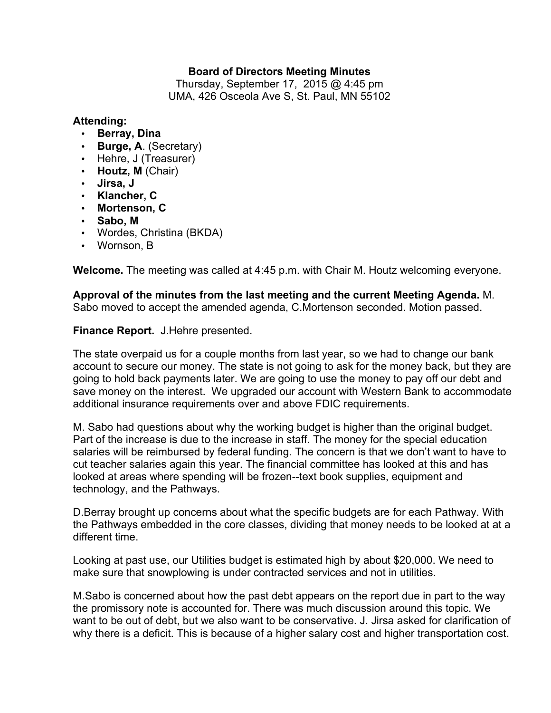# **Board of Directors Meeting Minutes**

Thursday, September 17, 2015 @ 4:45 pm UMA, 426 Osceola Ave S, St. Paul, MN 55102

#### **Attending:**

- **Berray, Dina**
- **Burge, A**. (Secretary)
- Hehre, J (Treasurer)
- **Houtz, M** (Chair)
- **Jirsa, J**
- **Klancher, C**
- **Mortenson, C**
- **Sabo, M**
- Wordes, Christina (BKDA)
- Wornson, B

**Welcome.** The meeting was called at 4:45 p.m. with Chair M. Houtz welcoming everyone.

**Approval of the minutes from the last meeting and the current Meeting Agenda.** M. Sabo moved to accept the amended agenda, C.Mortenson seconded. Motion passed.

## **Finance Report.** J.Hehre presented.

The state overpaid us for a couple months from last year, so we had to change our bank account to secure our money. The state is not going to ask for the money back, but they are going to hold back payments later. We are going to use the money to pay off our debt and save money on the interest. We upgraded our account with Western Bank to accommodate additional insurance requirements over and above FDIC requirements.

M. Sabo had questions about why the working budget is higher than the original budget. Part of the increase is due to the increase in staff. The money for the special education salaries will be reimbursed by federal funding. The concern is that we don't want to have to cut teacher salaries again this year. The financial committee has looked at this and has looked at areas where spending will be frozen--text book supplies, equipment and technology, and the Pathways.

D.Berray brought up concerns about what the specific budgets are for each Pathway. With the Pathways embedded in the core classes, dividing that money needs to be looked at at a different time.

Looking at past use, our Utilities budget is estimated high by about \$20,000. We need to make sure that snowplowing is under contracted services and not in utilities.

M.Sabo is concerned about how the past debt appears on the report due in part to the way the promissory note is accounted for. There was much discussion around this topic. We want to be out of debt, but we also want to be conservative. J. Jirsa asked for clarification of why there is a deficit. This is because of a higher salary cost and higher transportation cost.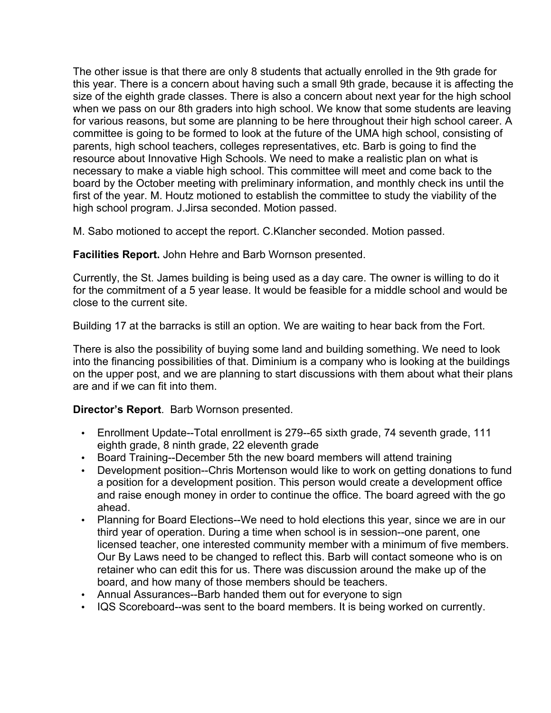The other issue is that there are only 8 students that actually enrolled in the 9th grade for this year. There is a concern about having such a small 9th grade, because it is affecting the size of the eighth grade classes. There is also a concern about next year for the high school when we pass on our 8th graders into high school. We know that some students are leaving for various reasons, but some are planning to be here throughout their high school career. A committee is going to be formed to look at the future of the UMA high school, consisting of parents, high school teachers, colleges representatives, etc. Barb is going to find the resource about Innovative High Schools. We need to make a realistic plan on what is necessary to make a viable high school. This committee will meet and come back to the board by the October meeting with preliminary information, and monthly check ins until the first of the year. M. Houtz motioned to establish the committee to study the viability of the high school program. J.Jirsa seconded. Motion passed.

M. Sabo motioned to accept the report. C.Klancher seconded. Motion passed.

**Facilities Report.** John Hehre and Barb Wornson presented.

Currently, the St. James building is being used as a day care. The owner is willing to do it for the commitment of a 5 year lease. It would be feasible for a middle school and would be close to the current site.

Building 17 at the barracks is still an option. We are waiting to hear back from the Fort.

There is also the possibility of buying some land and building something. We need to look into the financing possibilities of that. Diminium is a company who is looking at the buildings on the upper post, and we are planning to start discussions with them about what their plans are and if we can fit into them.

## **Director's Report**. Barb Wornson presented.

- Enrollment Update--Total enrollment is 279--65 sixth grade, 74 seventh grade, 111 eighth grade, 8 ninth grade, 22 eleventh grade
- Board Training--December 5th the new board members will attend training
- Development position--Chris Mortenson would like to work on getting donations to fund a position for a development position. This person would create a development office and raise enough money in order to continue the office. The board agreed with the go ahead.
- Planning for Board Elections--We need to hold elections this year, since we are in our third year of operation. During a time when school is in session--one parent, one licensed teacher, one interested community member with a minimum of five members. Our By Laws need to be changed to reflect this. Barb will contact someone who is on retainer who can edit this for us. There was discussion around the make up of the board, and how many of those members should be teachers.
- Annual Assurances--Barb handed them out for everyone to sign
- IQS Scoreboard--was sent to the board members. It is being worked on currently.